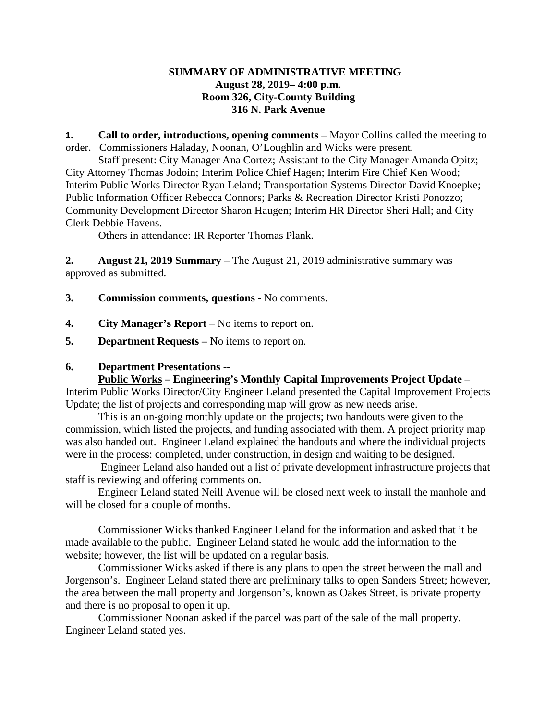## **SUMMARY OF ADMINISTRATIVE MEETING August 28, 2019– 4:00 p.m. Room 326, City-County Building 316 N. Park Avenue**

**1. Call to order, introductions, opening comments** – Mayor Collins called the meeting to order. Commissioners Haladay, Noonan, O'Loughlin and Wicks were present.

Staff present: City Manager Ana Cortez; Assistant to the City Manager Amanda Opitz; City Attorney Thomas Jodoin; Interim Police Chief Hagen; Interim Fire Chief Ken Wood; Interim Public Works Director Ryan Leland; Transportation Systems Director David Knoepke; Public Information Officer Rebecca Connors; Parks & Recreation Director Kristi Ponozzo; Community Development Director Sharon Haugen; Interim HR Director Sheri Hall; and City Clerk Debbie Havens.

Others in attendance: IR Reporter Thomas Plank.

**2. August 21, 2019 Summary** – The August 21, 2019 administrative summary was approved as submitted.

**3. Commission comments, questions -** No comments.

- **4. City Manager's Report** No items to report on.
- **5. Department Requests –** No items to report on.

## **6. Department Presentations --**

**Public Works – Engineering's Monthly Capital Improvements Project Update** –

Interim Public Works Director/City Engineer Leland presented the Capital Improvement Projects Update; the list of projects and corresponding map will grow as new needs arise.

This is an on-going monthly update on the projects; two handouts were given to the commission, which listed the projects, and funding associated with them. A project priority map was also handed out. Engineer Leland explained the handouts and where the individual projects were in the process: completed, under construction, in design and waiting to be designed.

Engineer Leland also handed out a list of private development infrastructure projects that staff is reviewing and offering comments on.

Engineer Leland stated Neill Avenue will be closed next week to install the manhole and will be closed for a couple of months.

Commissioner Wicks thanked Engineer Leland for the information and asked that it be made available to the public. Engineer Leland stated he would add the information to the website; however, the list will be updated on a regular basis.

Commissioner Wicks asked if there is any plans to open the street between the mall and Jorgenson's. Engineer Leland stated there are preliminary talks to open Sanders Street; however, the area between the mall property and Jorgenson's, known as Oakes Street, is private property and there is no proposal to open it up.

Commissioner Noonan asked if the parcel was part of the sale of the mall property. Engineer Leland stated yes.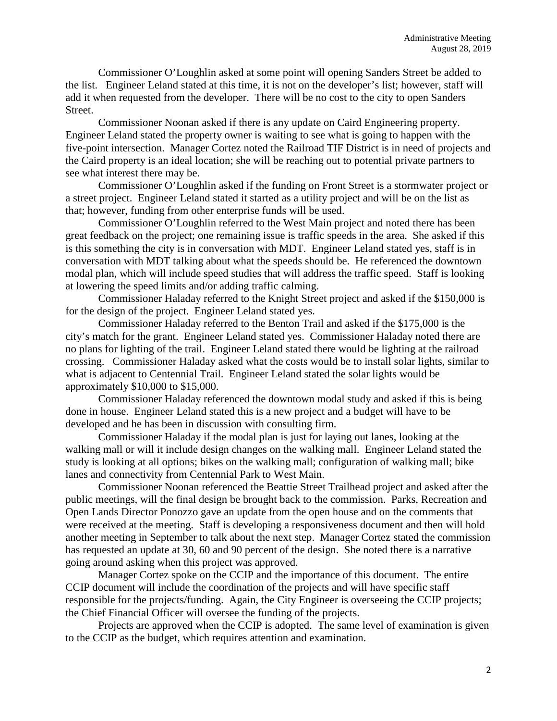Commissioner O'Loughlin asked at some point will opening Sanders Street be added to the list. Engineer Leland stated at this time, it is not on the developer's list; however, staff will add it when requested from the developer. There will be no cost to the city to open Sanders Street.

Commissioner Noonan asked if there is any update on Caird Engineering property. Engineer Leland stated the property owner is waiting to see what is going to happen with the five-point intersection. Manager Cortez noted the Railroad TIF District is in need of projects and the Caird property is an ideal location; she will be reaching out to potential private partners to see what interest there may be.

Commissioner O'Loughlin asked if the funding on Front Street is a stormwater project or a street project. Engineer Leland stated it started as a utility project and will be on the list as that; however, funding from other enterprise funds will be used.

Commissioner O'Loughlin referred to the West Main project and noted there has been great feedback on the project; one remaining issue is traffic speeds in the area. She asked if this is this something the city is in conversation with MDT. Engineer Leland stated yes, staff is in conversation with MDT talking about what the speeds should be. He referenced the downtown modal plan, which will include speed studies that will address the traffic speed. Staff is looking at lowering the speed limits and/or adding traffic calming.

Commissioner Haladay referred to the Knight Street project and asked if the \$150,000 is for the design of the project. Engineer Leland stated yes.

Commissioner Haladay referred to the Benton Trail and asked if the \$175,000 is the city's match for the grant. Engineer Leland stated yes. Commissioner Haladay noted there are no plans for lighting of the trail. Engineer Leland stated there would be lighting at the railroad crossing. Commissioner Haladay asked what the costs would be to install solar lights, similar to what is adjacent to Centennial Trail. Engineer Leland stated the solar lights would be approximately \$10,000 to \$15,000.

Commissioner Haladay referenced the downtown modal study and asked if this is being done in house. Engineer Leland stated this is a new project and a budget will have to be developed and he has been in discussion with consulting firm.

Commissioner Haladay if the modal plan is just for laying out lanes, looking at the walking mall or will it include design changes on the walking mall. Engineer Leland stated the study is looking at all options; bikes on the walking mall; configuration of walking mall; bike lanes and connectivity from Centennial Park to West Main.

Commissioner Noonan referenced the Beattie Street Trailhead project and asked after the public meetings, will the final design be brought back to the commission. Parks, Recreation and Open Lands Director Ponozzo gave an update from the open house and on the comments that were received at the meeting. Staff is developing a responsiveness document and then will hold another meeting in September to talk about the next step. Manager Cortez stated the commission has requested an update at 30, 60 and 90 percent of the design. She noted there is a narrative going around asking when this project was approved.

Manager Cortez spoke on the CCIP and the importance of this document. The entire CCIP document will include the coordination of the projects and will have specific staff responsible for the projects/funding. Again, the City Engineer is overseeing the CCIP projects; the Chief Financial Officer will oversee the funding of the projects.

Projects are approved when the CCIP is adopted. The same level of examination is given to the CCIP as the budget, which requires attention and examination.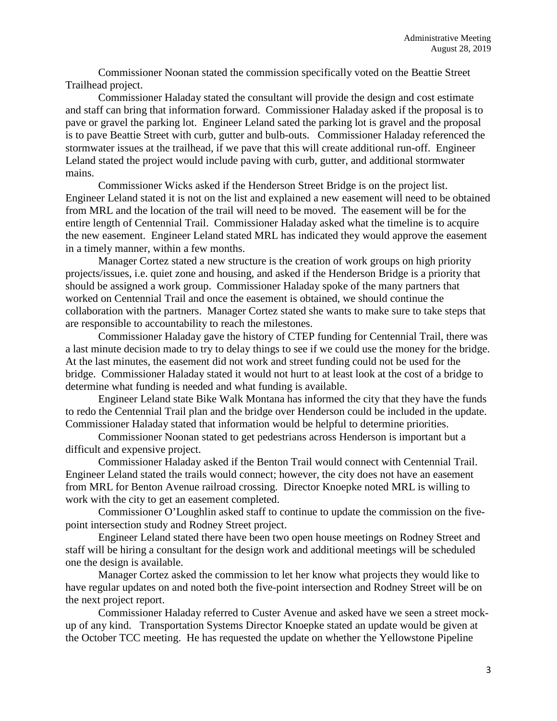Commissioner Noonan stated the commission specifically voted on the Beattie Street Trailhead project.

Commissioner Haladay stated the consultant will provide the design and cost estimate and staff can bring that information forward. Commissioner Haladay asked if the proposal is to pave or gravel the parking lot. Engineer Leland sated the parking lot is gravel and the proposal is to pave Beattie Street with curb, gutter and bulb-outs. Commissioner Haladay referenced the stormwater issues at the trailhead, if we pave that this will create additional run-off. Engineer Leland stated the project would include paving with curb, gutter, and additional stormwater mains.

Commissioner Wicks asked if the Henderson Street Bridge is on the project list. Engineer Leland stated it is not on the list and explained a new easement will need to be obtained from MRL and the location of the trail will need to be moved. The easement will be for the entire length of Centennial Trail. Commissioner Haladay asked what the timeline is to acquire the new easement. Engineer Leland stated MRL has indicated they would approve the easement in a timely manner, within a few months.

Manager Cortez stated a new structure is the creation of work groups on high priority projects/issues, i.e. quiet zone and housing, and asked if the Henderson Bridge is a priority that should be assigned a work group. Commissioner Haladay spoke of the many partners that worked on Centennial Trail and once the easement is obtained, we should continue the collaboration with the partners. Manager Cortez stated she wants to make sure to take steps that are responsible to accountability to reach the milestones.

Commissioner Haladay gave the history of CTEP funding for Centennial Trail, there was a last minute decision made to try to delay things to see if we could use the money for the bridge. At the last minutes, the easement did not work and street funding could not be used for the bridge. Commissioner Haladay stated it would not hurt to at least look at the cost of a bridge to determine what funding is needed and what funding is available.

Engineer Leland state Bike Walk Montana has informed the city that they have the funds to redo the Centennial Trail plan and the bridge over Henderson could be included in the update. Commissioner Haladay stated that information would be helpful to determine priorities.

Commissioner Noonan stated to get pedestrians across Henderson is important but a difficult and expensive project.

Commissioner Haladay asked if the Benton Trail would connect with Centennial Trail. Engineer Leland stated the trails would connect; however, the city does not have an easement from MRL for Benton Avenue railroad crossing. Director Knoepke noted MRL is willing to work with the city to get an easement completed.

Commissioner O'Loughlin asked staff to continue to update the commission on the fivepoint intersection study and Rodney Street project.

Engineer Leland stated there have been two open house meetings on Rodney Street and staff will be hiring a consultant for the design work and additional meetings will be scheduled one the design is available.

Manager Cortez asked the commission to let her know what projects they would like to have regular updates on and noted both the five-point intersection and Rodney Street will be on the next project report.

Commissioner Haladay referred to Custer Avenue and asked have we seen a street mockup of any kind. Transportation Systems Director Knoepke stated an update would be given at the October TCC meeting. He has requested the update on whether the Yellowstone Pipeline